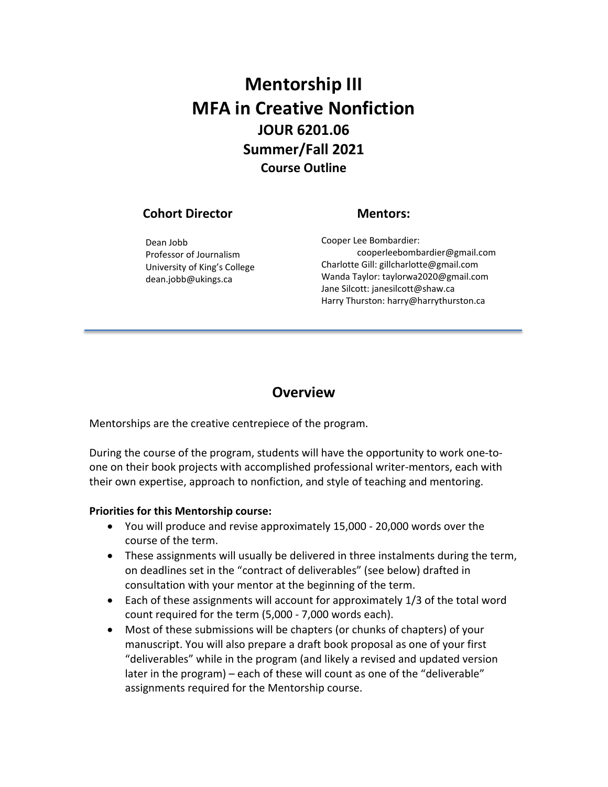# **Mentorship III MFA in Creative Nonfiction JOUR 6201.06 Summer/Fall 2021 Course Outline**

## **Cohort Director**

#### **Mentors:**

Dean Jobb Professor of Journalism University of King's College dean.jobb@ukings.ca

Cooper Lee Bombardier: cooperleebombardier@gmail.com Charlotte Gill: gillcharlotte@gmail.com Wanda Taylor: taylorwa2020@gmail.com Jane Silcott: janesilcott@shaw.ca Harry Thurston: harry@harrythurston.ca

## **Overview**

Mentorships are the creative centrepiece of the program.

During the course of the program, students will have the opportunity to work one-toone on their book projects with accomplished professional writer-mentors, each with their own expertise, approach to nonfiction, and style of teaching and mentoring.

#### **Priorities for this Mentorship course:**

- You will produce and revise approximately 15,000 20,000 words over the course of the term.
- These assignments will usually be delivered in three instalments during the term, on deadlines set in the "contract of deliverables" (see below) drafted in consultation with your mentor at the beginning of the term.
- Each of these assignments will account for approximately 1/3 of the total word count required for the term (5,000 - 7,000 words each).
- Most of these submissions will be chapters (or chunks of chapters) of your manuscript. You will also prepare a draft book proposal as one of your first "deliverables" while in the program (and likely a revised and updated version later in the program) – each of these will count as one of the "deliverable" assignments required for the Mentorship course.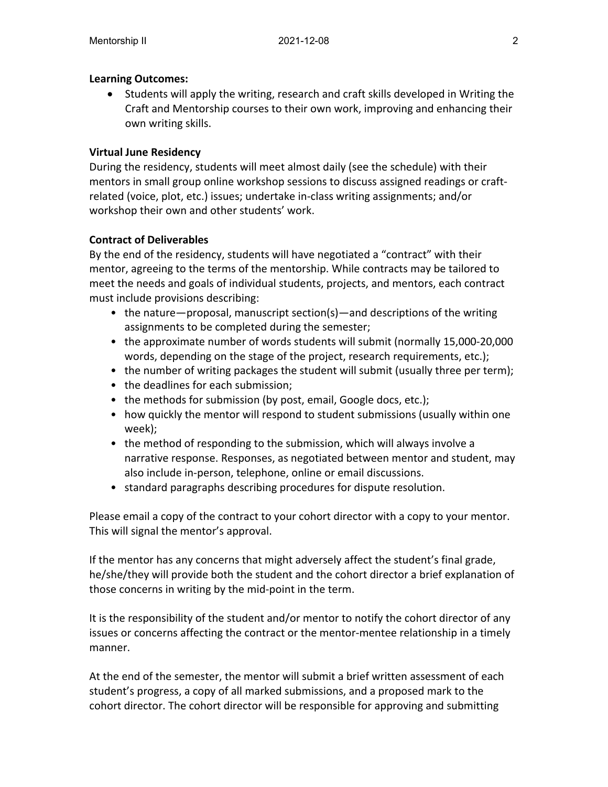#### **Learning Outcomes:**

• Students will apply the writing, research and craft skills developed in Writing the Craft and Mentorship courses to their own work, improving and enhancing their own writing skills.

#### **Virtual June Residency**

During the residency, students will meet almost daily (see the schedule) with their mentors in small group online workshop sessions to discuss assigned readings or craftrelated (voice, plot, etc.) issues; undertake in-class writing assignments; and/or workshop their own and other students' work.

#### **Contract of Deliverables**

By the end of the residency, students will have negotiated a "contract" with their mentor, agreeing to the terms of the mentorship. While contracts may be tailored to meet the needs and goals of individual students, projects, and mentors, each contract must include provisions describing:

- the nature—proposal, manuscript section(s)—and descriptions of the writing assignments to be completed during the semester;
- the approximate number of words students will submit (normally 15,000-20,000 words, depending on the stage of the project, research requirements, etc.);
- the number of writing packages the student will submit (usually three per term);
- the deadlines for each submission;
- the methods for submission (by post, email, Google docs, etc.);
- how quickly the mentor will respond to student submissions (usually within one week);
- the method of responding to the submission, which will always involve a narrative response. Responses, as negotiated between mentor and student, may also include in-person, telephone, online or email discussions.
- standard paragraphs describing procedures for dispute resolution.

Please email a copy of the contract to your cohort director with a copy to your mentor. This will signal the mentor's approval.

If the mentor has any concerns that might adversely affect the student's final grade, he/she/they will provide both the student and the cohort director a brief explanation of those concerns in writing by the mid-point in the term.

It is the responsibility of the student and/or mentor to notify the cohort director of any issues or concerns affecting the contract or the mentor-mentee relationship in a timely manner.

At the end of the semester, the mentor will submit a brief written assessment of each student's progress, a copy of all marked submissions, and a proposed mark to the cohort director. The cohort director will be responsible for approving and submitting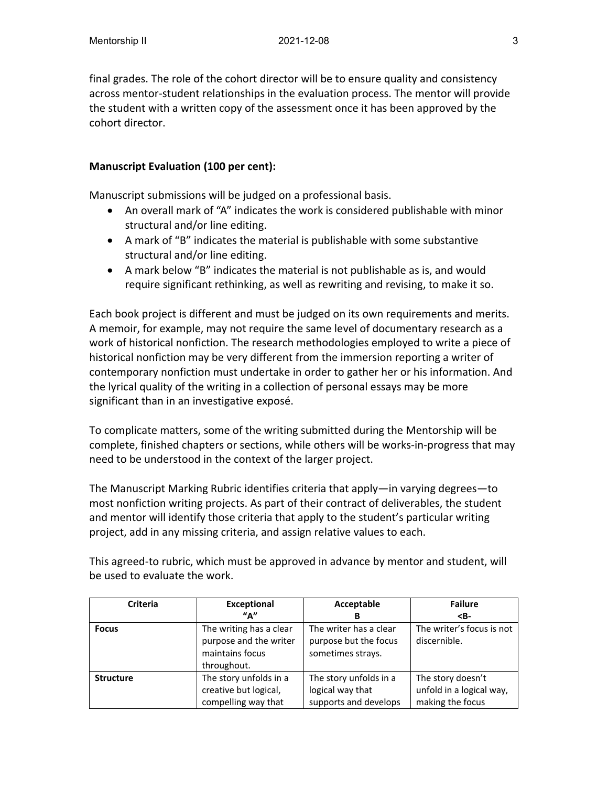final grades. The role of the cohort director will be to ensure quality and consistency across mentor-student relationships in the evaluation process. The mentor will provide the student with a written copy of the assessment once it has been approved by the cohort director.

#### **Manuscript Evaluation (100 per cent):**

Manuscript submissions will be judged on a professional basis.

- An overall mark of "A" indicates the work is considered publishable with minor structural and/or line editing.
- A mark of "B" indicates the material is publishable with some substantive structural and/or line editing.
- A mark below "B" indicates the material is not publishable as is, and would require significant rethinking, as well as rewriting and revising, to make it so.

Each book project is different and must be judged on its own requirements and merits. A memoir, for example, may not require the same level of documentary research as a work of historical nonfiction. The research methodologies employed to write a piece of historical nonfiction may be very different from the immersion reporting a writer of contemporary nonfiction must undertake in order to gather her or his information. And the lyrical quality of the writing in a collection of personal essays may be more significant than in an investigative exposé.

To complicate matters, some of the writing submitted during the Mentorship will be complete, finished chapters or sections, while others will be works-in-progress that may need to be understood in the context of the larger project.

The Manuscript Marking Rubric identifies criteria that apply—in varying degrees—to most nonfiction writing projects. As part of their contract of deliverables, the student and mentor will identify those criteria that apply to the student's particular writing project, add in any missing criteria, and assign relative values to each.

This agreed-to rubric, which must be approved in advance by mentor and student, will be used to evaluate the work.

| <b>Criteria</b>  | <b>Exceptional</b>                                                                  | Acceptable                                                           | <b>Failure</b>                                                    |
|------------------|-------------------------------------------------------------------------------------|----------------------------------------------------------------------|-------------------------------------------------------------------|
|                  | ''A''                                                                               | B                                                                    | $B-$                                                              |
| <b>Focus</b>     | The writing has a clear<br>purpose and the writer<br>maintains focus<br>throughout. | The writer has a clear<br>purpose but the focus<br>sometimes strays. | The writer's focus is not<br>discernible.                         |
| <b>Structure</b> | The story unfolds in a<br>creative but logical,<br>compelling way that              | The story unfolds in a<br>logical way that<br>supports and develops  | The story doesn't<br>unfold in a logical way,<br>making the focus |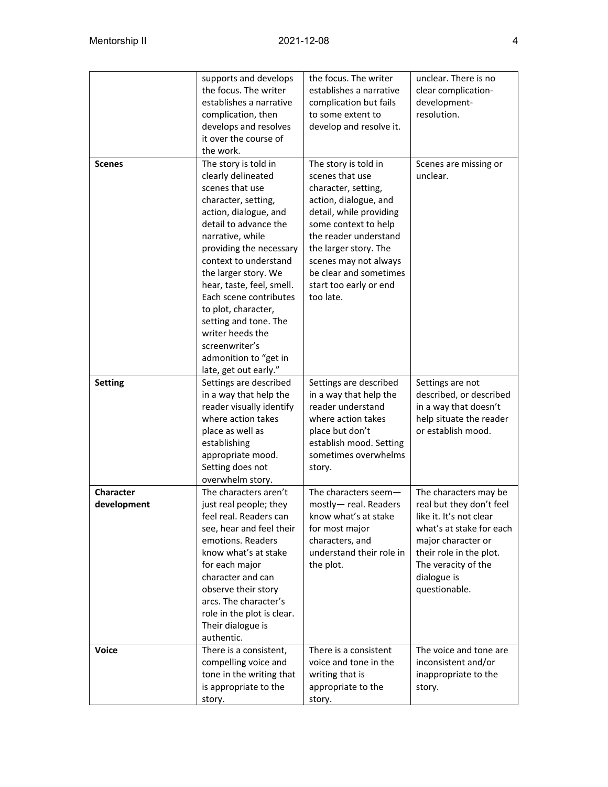|                                 | supports and develops<br>the focus. The writer<br>establishes a narrative<br>complication, then<br>develops and resolves<br>it over the course of<br>the work.                                                                                                                                                                                                                                                                        | the focus. The writer<br>establishes a narrative<br>complication but fails<br>to some extent to<br>develop and resolve it.                                                                                                                                                             | unclear. There is no<br>clear complication-<br>development-<br>resolution.                                                                                                                                       |
|---------------------------------|---------------------------------------------------------------------------------------------------------------------------------------------------------------------------------------------------------------------------------------------------------------------------------------------------------------------------------------------------------------------------------------------------------------------------------------|----------------------------------------------------------------------------------------------------------------------------------------------------------------------------------------------------------------------------------------------------------------------------------------|------------------------------------------------------------------------------------------------------------------------------------------------------------------------------------------------------------------|
| <b>Scenes</b>                   | The story is told in<br>clearly delineated<br>scenes that use<br>character, setting,<br>action, dialogue, and<br>detail to advance the<br>narrative, while<br>providing the necessary<br>context to understand<br>the larger story. We<br>hear, taste, feel, smell.<br>Each scene contributes<br>to plot, character,<br>setting and tone. The<br>writer heeds the<br>screenwriter's<br>admonition to "get in<br>late, get out early." | The story is told in<br>scenes that use<br>character, setting,<br>action, dialogue, and<br>detail, while providing<br>some context to help<br>the reader understand<br>the larger story. The<br>scenes may not always<br>be clear and sometimes<br>start too early or end<br>too late. | Scenes are missing or<br>unclear.                                                                                                                                                                                |
| <b>Setting</b>                  | Settings are described<br>in a way that help the<br>reader visually identify<br>where action takes<br>place as well as<br>establishing<br>appropriate mood.<br>Setting does not<br>overwhelm story.                                                                                                                                                                                                                                   | Settings are described<br>in a way that help the<br>reader understand<br>where action takes<br>place but don't<br>establish mood. Setting<br>sometimes overwhelms<br>story.                                                                                                            | Settings are not<br>described, or described<br>in a way that doesn't<br>help situate the reader<br>or establish mood.                                                                                            |
| <b>Character</b><br>development | The characters aren't<br>just real people; they<br>feel real. Readers can<br>see, hear and feel their<br>emotions. Readers<br>know what's at stake<br>for each major<br>character and can<br>observe their story<br>arcs. The character's<br>role in the plot is clear.<br>Their dialogue is<br>authentic.                                                                                                                            | The characters seem-<br>mostly-real. Readers<br>know what's at stake<br>for most major<br>characters, and<br>understand their role in<br>the plot.                                                                                                                                     | The characters may be<br>real but they don't feel<br>like it. It's not clear<br>what's at stake for each<br>major character or<br>their role in the plot.<br>The veracity of the<br>dialogue is<br>questionable. |
| <b>Voice</b>                    | There is a consistent,<br>compelling voice and<br>tone in the writing that<br>is appropriate to the<br>story.                                                                                                                                                                                                                                                                                                                         | There is a consistent<br>voice and tone in the<br>writing that is<br>appropriate to the<br>story.                                                                                                                                                                                      | The voice and tone are<br>inconsistent and/or<br>inappropriate to the<br>story.                                                                                                                                  |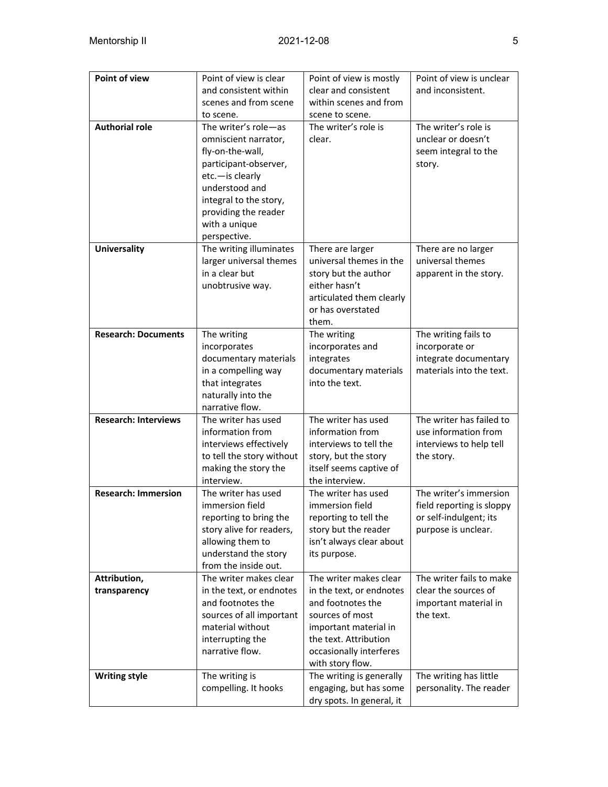| <b>Point of view</b>         | Point of view is clear<br>and consistent within<br>scenes and from scene<br>to scene.                                                                                                                             | Point of view is mostly<br>clear and consistent<br>within scenes and from<br>scene to scene.                                                                                                | Point of view is unclear<br>and inconsistent.                                                        |
|------------------------------|-------------------------------------------------------------------------------------------------------------------------------------------------------------------------------------------------------------------|---------------------------------------------------------------------------------------------------------------------------------------------------------------------------------------------|------------------------------------------------------------------------------------------------------|
| <b>Authorial role</b>        | The writer's role-as<br>omniscient narrator,<br>fly-on-the-wall,<br>participant-observer,<br>etc.-is clearly<br>understood and<br>integral to the story,<br>providing the reader<br>with a unique<br>perspective. | The writer's role is<br>clear.                                                                                                                                                              | The writer's role is<br>unclear or doesn't<br>seem integral to the<br>story.                         |
| <b>Universality</b>          | The writing illuminates<br>larger universal themes<br>in a clear but<br>unobtrusive way.                                                                                                                          | There are larger<br>universal themes in the<br>story but the author<br>either hasn't<br>articulated them clearly<br>or has overstated<br>them.                                              | There are no larger<br>universal themes<br>apparent in the story.                                    |
| <b>Research: Documents</b>   | The writing<br>incorporates<br>documentary materials<br>in a compelling way<br>that integrates<br>naturally into the<br>narrative flow.                                                                           | The writing<br>incorporates and<br>integrates<br>documentary materials<br>into the text.                                                                                                    | The writing fails to<br>incorporate or<br>integrate documentary<br>materials into the text.          |
| <b>Research: Interviews</b>  | The writer has used<br>information from<br>interviews effectively<br>to tell the story without<br>making the story the<br>interview.                                                                              | The writer has used<br>information from<br>interviews to tell the<br>story, but the story<br>itself seems captive of<br>the interview.                                                      | The writer has failed to<br>use information from<br>interviews to help tell<br>the story.            |
| <b>Research: Immersion</b>   | The writer has used<br>immersion field<br>reporting to bring the<br>story alive for readers,<br>allowing them to<br>understand the story<br>from the inside out.                                                  | The writer has used<br>immersion field<br>reporting to tell the<br>story but the reader<br>isn't always clear about<br>its purpose.                                                         | The writer's immersion<br>field reporting is sloppy<br>or self-indulgent; its<br>purpose is unclear. |
| Attribution,<br>transparency | The writer makes clear<br>in the text, or endnotes<br>and footnotes the<br>sources of all important<br>material without<br>interrupting the<br>narrative flow.                                                    | The writer makes clear<br>in the text, or endnotes<br>and footnotes the<br>sources of most<br>important material in<br>the text. Attribution<br>occasionally interferes<br>with story flow. | The writer fails to make<br>clear the sources of<br>important material in<br>the text.               |
| <b>Writing style</b>         | The writing is<br>compelling. It hooks                                                                                                                                                                            | The writing is generally<br>engaging, but has some<br>dry spots. In general, it                                                                                                             | The writing has little<br>personality. The reader                                                    |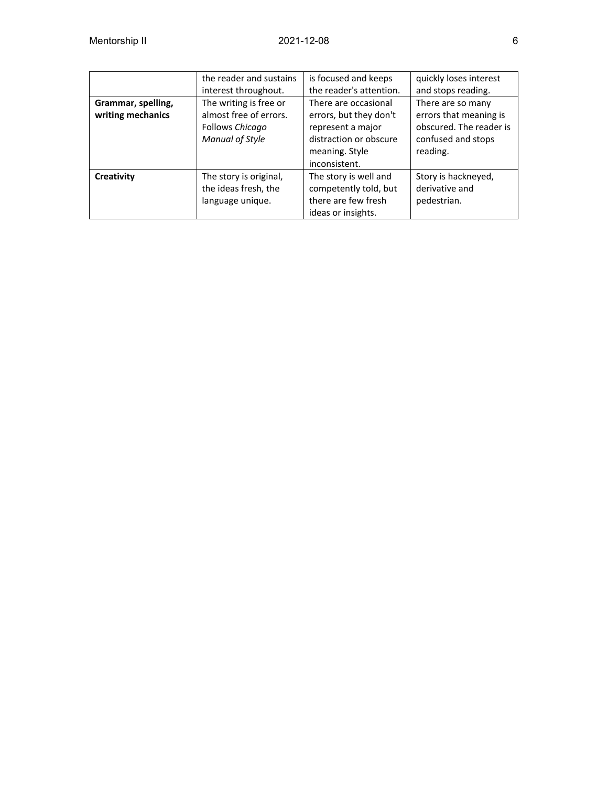|                    | the reader and sustains | is focused and keeps    | quickly loses interest  |
|--------------------|-------------------------|-------------------------|-------------------------|
|                    | interest throughout.    | the reader's attention. | and stops reading.      |
| Grammar, spelling, | The writing is free or  | There are occasional    | There are so many       |
| writing mechanics  | almost free of errors.  | errors, but they don't  | errors that meaning is  |
|                    | Follows Chicago         | represent a major       | obscured. The reader is |
|                    | Manual of Style         | distraction or obscure  | confused and stops      |
|                    |                         | meaning. Style          | reading.                |
|                    |                         | inconsistent.           |                         |
| Creativity         | The story is original,  | The story is well and   | Story is hackneyed,     |
|                    | the ideas fresh, the    | competently told, but   | derivative and          |
|                    | language unique.        | there are few fresh     | pedestrian.             |
|                    |                         | ideas or insights.      |                         |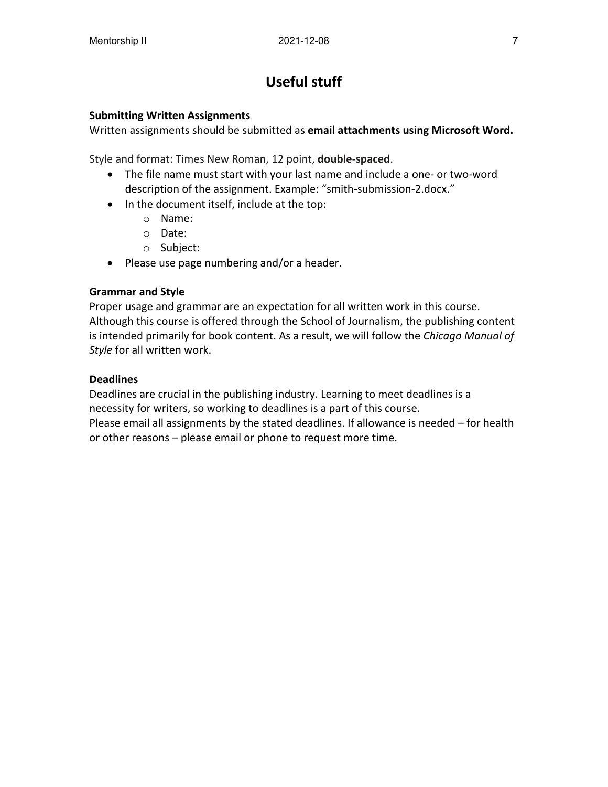# **Useful stuff**

#### **Submitting Written Assignments**

Written assignments should be submitted as **email attachments using Microsoft Word.**

Style and format: Times New Roman, 12 point, **double-spaced**.

- The file name must start with your last name and include a one- or two-word description of the assignment. Example: "smith-submission-2.docx."
- In the document itself, include at the top:
	- o Name:
	- o Date:
	- o Subject:
- Please use page numbering and/or a header.

#### **Grammar and Style**

Proper usage and grammar are an expectation for all written work in this course. Although this course is offered through the School of Journalism, the publishing content is intended primarily for book content. As a result, we will follow the *Chicago Manual of Style* for all written work.

#### **Deadlines**

Deadlines are crucial in the publishing industry. Learning to meet deadlines is a necessity for writers, so working to deadlines is a part of this course.

Please email all assignments by the stated deadlines. If allowance is needed – for health or other reasons – please email or phone to request more time.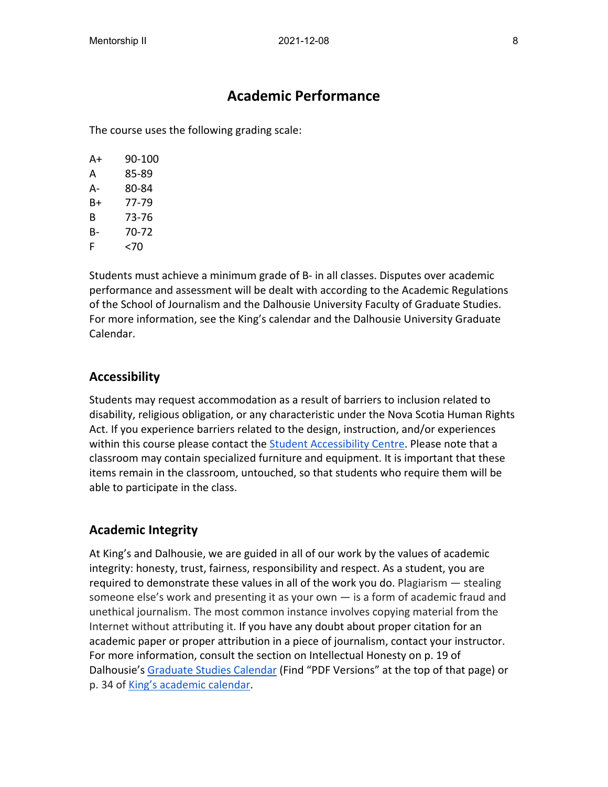## **Academic Performance**

The course uses the following grading scale:

| A+ | 90-100 |
|----|--------|
| А  | 85-89  |
| А- | 80-84  |
| B+ | 77-79  |
| В  | 73-76  |
| в- | 70-72  |
| F  | <70    |

Students must achieve a minimum grade of B- in all classes. Disputes over academic performance and assessment will be dealt with according to the Academic Regulations of the School of Journalism and the Dalhousie University Faculty of Graduate Studies. For more information, see the King's calendar and the Dalhousie University Graduate Calendar.

## **Accessibility**

Students may request accommodation as a result of barriers to inclusion related to disability, religious obligation, or any characteristic under the Nova Scotia Human Rights Act. If you experience barriers related to the design, instruction, and/or experiences within this course please contact the [Student Accessibility Centre.](https://www.dal.ca/campus_life/academic-support/accessibility.html) Please note that a classroom may contain specialized furniture and equipment. It is important that these items remain in the classroom, untouched, so that students who require them will be able to participate in the class.

## **Academic Integrity**

At King's and Dalhousie, we are guided in all of our work by the values of academic integrity: honesty, trust, fairness, responsibility and respect. As a student, you are required to demonstrate these values in all of the work you do. Plagiarism — stealing someone else's work and presenting it as your own — is a form of academic fraud and unethical journalism. The most common instance involves copying material from the Internet without attributing it. If you have any doubt about proper citation for an academic paper or proper attribution in a piece of journalism, contact your instructor. For more information, consult the section on Intellectual Honesty on p. 19 of Dalhousie's [Graduate Studies Calendar](https://academiccalendar.dal.ca/) (Find "PDF Versions" at the top of that page) or p. 34 of [King's academic calendar.](https://ukings.ca/administration/academic-calendar/)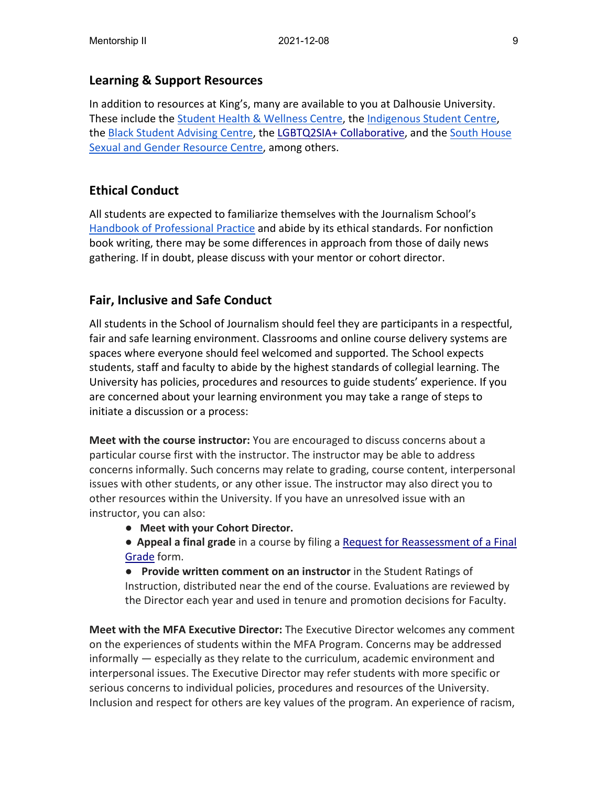## **Learning & Support Resources**

In addition to resources at King's, many are available to you at Dalhousie University. These include th[e Student Health & Wellness Centre,](https://www.dal.ca/campus_life/health-and-wellness/services-support/student-health-and-wellness.html) the [Indigenous Student Centre,](https://www.dal.ca/campus_life/communities/indigenous.html) the [Black Student Advising Centre,](https://www.dal.ca/campus_life/communities/black-student-advising.html) the [LGBTQ2SIA+ Collaborative,](https://www.dal.ca/dept/hres/education%E2%80%90%20campaigns/LGBTQ2SIA%E2%80%90collaborative.html) and the [South House](https://southhousehalifax.org/)  [Sexual and Gender Resource Centre,](https://southhousehalifax.org/) among others.

## **Ethical Conduct**

All students are expected to familiarize themselves with the Journalism School's [Handbook of Professional Practice](http://kingsjournalism.com/handbook) and abide by its ethical standards. For nonfiction book writing, there may be some differences in approach from those of daily news gathering. If in doubt, please discuss with your mentor or cohort director.

## **Fair, Inclusive and Safe Conduct**

All students in the School of Journalism should feel they are participants in a respectful, fair and safe learning environment. Classrooms and online course delivery systems are spaces where everyone should feel welcomed and supported. The School expects students, staff and faculty to abide by the highest standards of collegial learning. The University has policies, procedures and resources to guide students' experience. If you are concerned about your learning environment you may take a range of steps to initiate a discussion or a process:

**Meet with the course instructor:** You are encouraged to discuss concerns about a particular course first with the instructor. The instructor may be able to address concerns informally. Such concerns may relate to grading, course content, interpersonal issues with other students, or any other issue. The instructor may also direct you to other resources within the University. If you have an unresolved issue with an instructor, you can also:

- **Meet with your Cohort Director.**
- **Appeal a final grade** in a course by filing a Request for [Reassessment](https://www.dal.ca/campus_life/academic-support/grades-and-student-records/appealing-a-grade.html) of a Final [Grade](https://www.dal.ca/campus_life/academic-support/grades-and-student-records/appealing-a-grade.html) form.

● **Provide written comment on an instructor** in the Student Ratings of Instruction, distributed near the end of the course. Evaluations are reviewed by the Director each year and used in tenure and promotion decisions for Faculty.

**Meet with the MFA Executive Director:** The Executive Director welcomes any comment on the experiences of students within the MFA Program. Concerns may be addressed informally — especially as they relate to the curriculum, academic environment and interpersonal issues. The Executive Director may refer students with more specific or serious concerns to individual policies, procedures and resources of the University. Inclusion and respect for others are key values of the program. An experience of racism,